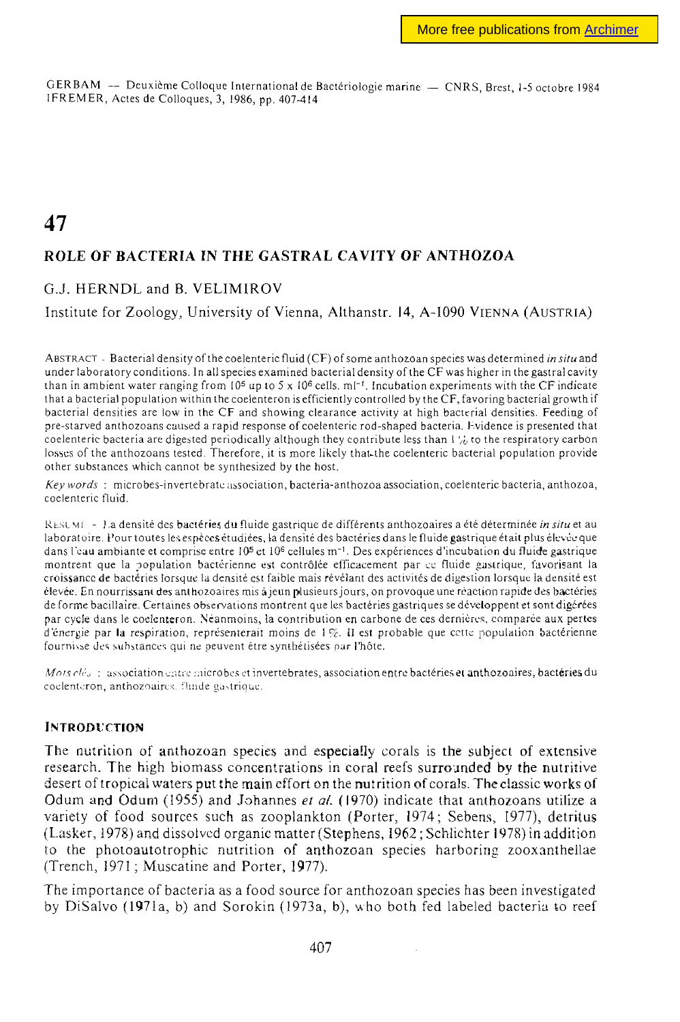GERBAM — Deuxième Colloque International de Bactériologie marine — CNRS, Brest, 1-5 octobre 1984 IFREMER, Actes de Colloques, 3, 1986, pp. 407-414

# **47 ROLE OF BACTERIA IN THE GASTRAL CAVITY OF ANTHOZOA**

## G.J. HERNDL and B. VELIMIROV

## Institute for Zoology, University of Vienna, Althanstr. 14, A-I090 VIENNA (AUSTRIA)

ABSTRACT - Bacterial density of the coelenteric fluid (CF) of some anthozoan species was determined *in situ* and under laboratory conditions. In all species examined bacterial density of the CF was higher in the gastral cavity than in ambient water ranging from 10<sup>5</sup> up to 5 x 10<sup>6</sup> cells, ml<sup>-1</sup>. Incubation experiments with the CF indicate that a bacterial population within the coelenteron is efficiently controlled by the CF, favoring bacterial growth if bacterial densities are low in the CF and showing clearance activity at high bacterial densities. Feeding of pre-starved anthozoans caused a rapid response of coelenteric rod-shaped bacteria. Evidence is presented that coelenteric bacteria are digested periodically although they contribute less than . *,v* .o the respiratory carbon losses of the anthozoans tested. Therefore, it is more likely that the coelenteric bacterial population provide other substances which cannot be synthesized by the host.

*Key words* : microbes-invertebrate association, bacteria-anthozoa association, coelenteric bacteria, anthozoa, coelenteric fluid.

RESUME - La densité des bactéries du fluide gastrique de différents anthozoaires a été déterminée *in situ* et au laboratoire. Pour toutes les espèces étudiées, la densité des bactéries dans le fluide gastrique était plus élevée que dans l'eau ambiante et comprise entre 10<sup>5</sup> et 10<sup>6</sup> cellules m<sup>-1</sup>. Des expériences d'incubation du fluide gastrique montrent que la population bactérienne est contrôlée efficacement par ce fluide gastrique, favorisant la croissance de bactéries lorsque la densité est faible mais révélant des activités de digestion lorsque la densité est élevée. En nourrissant des anthozoaires mis àjeun plusieurs jours, on provoque une réaction rapide des bactéries déforme bacillaire. Certaines observations montrent que les bactéries gastriques se développent et sont digérées par cycle dans le coelenteron. Néanmoins, la contribution en carbone de ces dernières, comparée aux pertes d'énergie par la respiration, représenterait moins de 1%. Il est probable que cette population bactérienne fournisse des substances qui ne peuvent être synthétisées par i'hôte.

*Mois clés* : association entre microbes et invertebrates, association entre bactéries et anthozoaires, bactéries du coelenteron, anthozoaires. fluide gastrique.

#### INTRODUCTION

The nutrition of anthozoan species and especially corals is the subject of extensive research. The high biomass concentrations in coral reefs surrounded by the nutritive desert of tropical waters put the main effort on the nutrition of corals. The classic works of Odum and Odum (1955) and Johannes *et al.* (1970) indicate that anthozoans utilize a variety of food sources such as zooplankton (Porter, 1974; Sebens, 1977), detritus (Lasker, 197S) and dissolved organic matter (Stephens, 1962; Schlichter 1978) in addition to the phoioautotrophie nutrition of anthozoan species harboring zooxantheliae (Trench, 1971 ; Muscatine and Porter, 1977).

The importance of bacteria as a food source for anthozoan species has been investigated by DiSalvo (1971a, b) and Sorokin (1973a, b), who both fed labeled bacteria to reef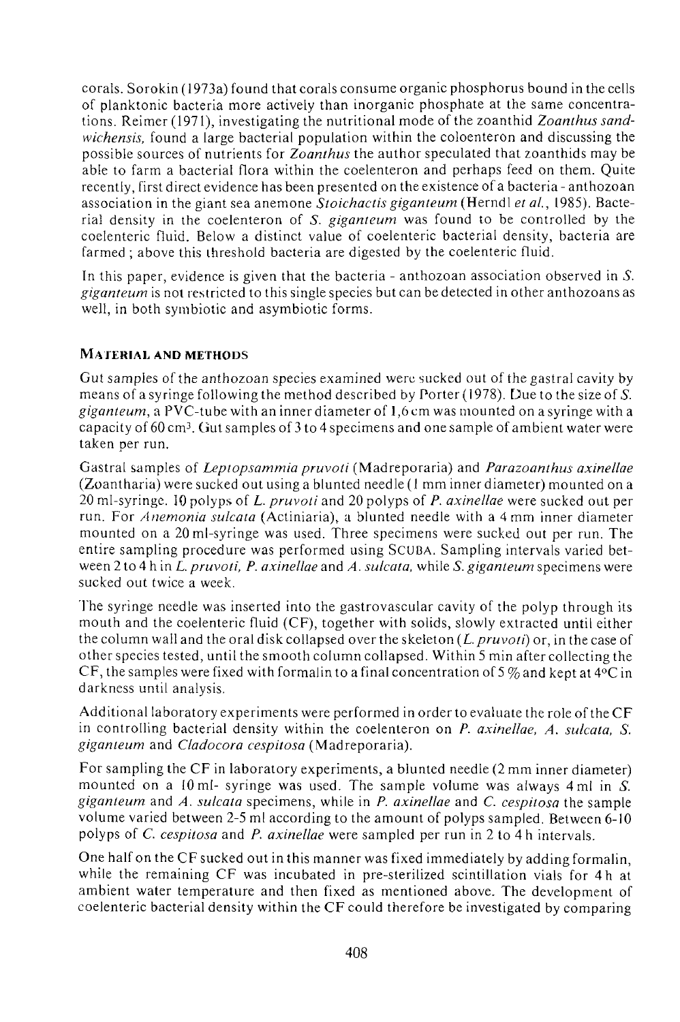corals. Sorokin (1973a) found that corals consume organic phosphorus bound in the cells of planktonic bacteria more actively than inorganic phosphate at the same concentrations. Reimer (1971), investigating the nutritional mode of the zoanthid *Zoanthus sandwichensis,* found a large bacterial population within the coloenteron and discussing the possible sources of nutrients for *Zoanthus* the author speculated that zoanthids may be able to farm a bacterial flora within the coelenteron and perhaps feed on them. Quite recently, first direct evidence has been presented on the existence of a bacteria - anthozoan association in the giant sea anemone *Stoichactisgiganteum* (Herndl *et ai,* 1985). Bacterial density in the coelenteron of 5. *giganteum* was found to be controlled by the coelenteric fluid. Below a distinct value of coelenteric bacterial density, bacteria are farmed ; above this threshold bacteria are digested by the coelenteric fluid.

In this paper, evidence is given that the bacteria - anthozoan association observed in *S. giganteum* is not restricted to this single species but can be detected in other anthozoans as well, in both symbiotic and asymbiotic forms.

# **MATERIAL AND METHODS**

Gut samples of the anthozoan species examined were sucked out of thegastral cavity by means of a syringe following the method described by Porter (1978). Due to the size of S. *giganteum,* **a** PVC-tube with an inner diameter of 1,6 cm was mounted on a syringe with a capacity of 60 cm<sup>3</sup> . Gut samples of 3 to 4 specimens and one sample of ambient water were taken per run.

Gastral samples of *Leptopsammia pruvoti* (Madreporaria) and *Parazoanthus axinellae*  (Zoantharia) were sucked out using a blunted needle (1 mm inner diameter) mounted on a 20 mi-syringe. 10 polyps of *L. pruvoti* and 20 polyps of *P. axinellae* were sucked out per run. For *Ammonia sulcata* (Actiniaria), a blunted needle with a 4 mm inner diameter mounted on a 20ml-syringe was used. Three specimens were sucked out per run. The entire sampling procedure was performed using SCUBA. Sampling intervals varied between 2 to 4 h in *L. pruvoti, P. axinellae* and *A. sulcata,* while *S. giganteum* specimens were sucked out twice a week.

The syringe needle was inserted into the gastrovascular cavity of the polyp through its mouth and the coelenteric fluid (CF), together with solids, slowly extracted until either the column wall and the oral disk collapsed over the skeleton *(L.pruvoti)* or, in the case of other species tested, until the smooth column collapsed. Within 5 min after collecting the CF, the samples were fixed with formalin to a final concentration of 5  $\%$  and kept at 4 °C in darkness until analysis.

Additional laboratory experiments were performed in order to evaluate the role of the CF in controlling bacterial density within the coelenteron on *P. axinellae, A. sulcata, S. giganteum* and *Cladocora cespitosa* (Madreporaria).

For sampling the CF in laboratory experiments, a blunted needle (2 mm inner diameter) mounted on a 10 ml- syringe was used. The sample volume was always 4 ml in *S. giganteum* and *A. sulcata* specimens, while in *P. axinellae* and C. *cespitosa* the sample volume varied between 2-5 ml according to the amount of polyps sampled. Between 6-10 polyps of *C. cespitosa* and *P. axinellae* were sampled per run in 2 to 4 h intervals.

One half on the CF sucked out in this manner was fixed immediately by adding formalin, while the remaining CF was incubated in pre-sterilized scintillation vials for 4 h at ambient water temperature and then fixed as mentioned above. The development of coelenteric bacterial density within the CF could therefore be investigated by comparing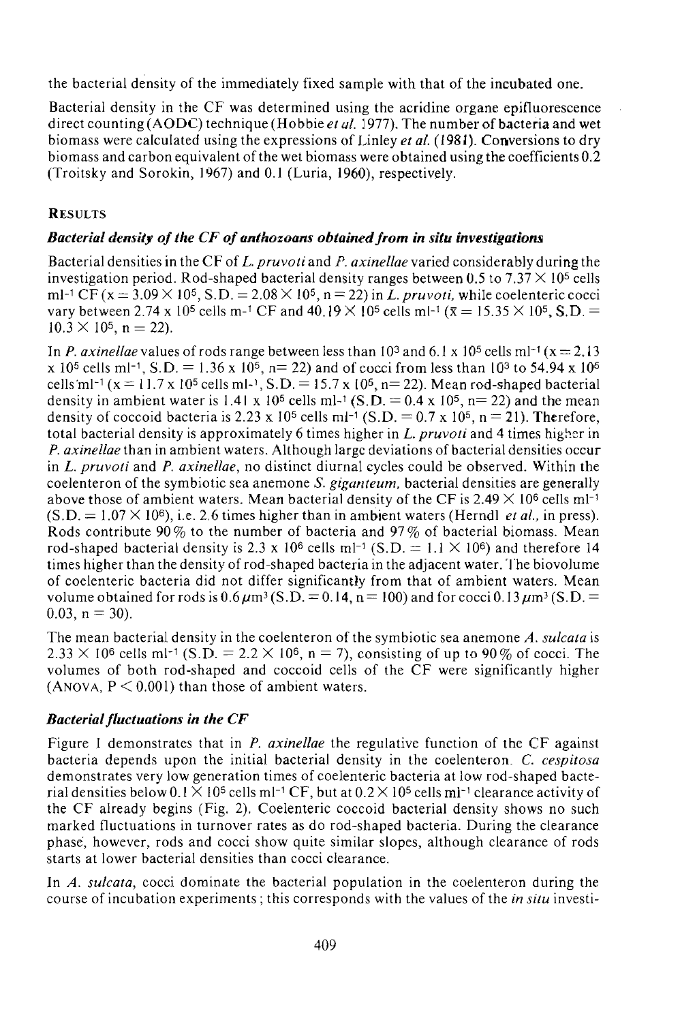the bacterial density of the immediately fixed sample with that of the incubated one.

Bacterial density in the CF was determined using the acridine organe epifluorescence direct counting (AODC) technique (Hobbie *et al.* 1977). The number of bacteria and wet biomass were calculated using the expressions of Linley *et al.* (1981). Conversions to dry biomass and carbon equivalent of the wet biomass were obtained using the coefficients 0.2 (Troitsky and Sorokin, 1967) and 0.1 (Luria, 1960), respectively.

## **RESULTS**

## *Bacterial density of the CF of anthozoans obtained from in situ investigations*

Bacterial densities in the CF of *L. pruvoti* and *P. axinellae* varied considerably during the investigation period. Rod-shaped bacterial density ranges between 0.5 to 7.37  $\times$  10<sup>5</sup> cells ml<sup>-1</sup> CF (x = 3.09  $\times$  10<sup>5</sup>, S.D. = 2.08  $\times$  10<sup>5</sup>, n = 22) in *L. pruvoti*, while coelenteric cocci vary between 2.74 x 10<sup>5</sup> cells m-<sup>1</sup> CF and 40.19  $\times$  10<sup>5</sup> cells ml-<sup>1</sup> ( $\bar{x}$  = 15.35  $\times$  10<sup>5</sup>, S.D. =  $10.\overline{3} \times 10^5$ , n = 22).

In *P. axinellae* values of rods range between less than  $10^3$  and  $6.1 \times 10^5$  cells ml<sup>-1</sup> ( $x = 2.13$ ) x 10<sup>5</sup> cells ml<sup>-1</sup>, S.D. = 1.36 x 10<sup>5</sup>, n= 22) and of cocci from less than 10<sup>3</sup> to 54.94 x 10<sup>6</sup> cells ml<sup>-1</sup> (x = 11.7 x 10<sup>5</sup> cells ml-<sup>1</sup>, S.D. = 15.7 x 10<sup>5</sup>, n= 22). Mean rod-shaped bacterial density in ambient water is 1.41 x 10<sup>5</sup> cells ml-1 (S.D. =  $0.4$  x 10<sup>5</sup>, n= 22) and the mean density of coccoid bacteria is 2.23 x 10<sup>5</sup> cells ml<sup>-1</sup> (S.D. = 0.7 x 10<sup>5</sup>, n = 21). Therefore, total bacterial density is approximately 6 times higher in *L. pruvoti* and 4 times higher in *P. axinellae* than in ambient waters. Although large deviations of bacterial densities occur in *L. pruvoti* and *P. axinellae,* no distinct diurnal cycles could be observed. Within the coelenteron of the symbiotic sea anemone *S. giganteum,* bacterial densities are generally above those of ambient waters. Mean bacterial density of the CF is  $2.49 \times 10^6$  cells ml<sup>-1</sup>  $(S.D. = 1.07 \times 10^6)$ , i.e. 2.6 times higher than in ambient waters (Herndl *et al.*, in press). Rods contribute  $90\%$  to the number of bacteria and  $97\%$  of bacterial biomass. Mean rod-shaped bacterial density is 2.3 x 10<sup>6</sup> cells m<sup>-1</sup> (S.D. = 1.1  $\times$  10<sup>6</sup>) and therefore 14 times higher than the density of rod-shaped bacteria in the adjacent water. The biovolume of coelenteric bacteria did not differ significantly from that of ambient waters. Mean volume obtained for rods is  $0.6\mu$ m<sup>3</sup> (S.D. = 0.14, n = 100) and for cocci 0.13 $\mu$ m<sup>3</sup> (S.D. =  $0.03$ ,  $n = 30$ ).

The mean bacterial density in the coelenteron of the symbiotic sea anemone *A. sulcata* is  $2.33 \times 10^6$  cells ml<sup>-1</sup> (S.D. = 2.2  $\times$  10<sup>6</sup>, n = 7), consisting of up to 90 % of cocci. The volumes of both rod-shaped and coccoid cells of the CF were significantly higher (ANOVA,  $P \le 0.001$ ) than those of ambient waters.

## *Bacterial fluctuations in the CF*

Figure 1 demonstrates that in *P. axinellae* the regulative function of the CF against bacteria depends upon the initial bacterial density in the coelenteron. *C. cespitosa*  demonstrates very low generation times of coelenteric bacteria at low rod-shaped bacterial densities below  $0.1 \times 10^5$  cells ml<sup>-1</sup> CF, but at  $0.2 \times 10^5$  cells ml<sup>-1</sup> clearance activity of the CF already begins (Fig. 2). Coelenteric coccoid bacterial density shows no such marked fluctuations in turnover rates as do rod-shaped bacteria. During the clearance phase, however, rods and cocci show quite similar slopes, although clearance of rods starts at lower bacterial densities than cocci clearance.

In *A. sulcata,* cocci dominate the bacterial population in the coelenteron during the course of incubation experiments ; this corresponds with the values of the *in situ* investi-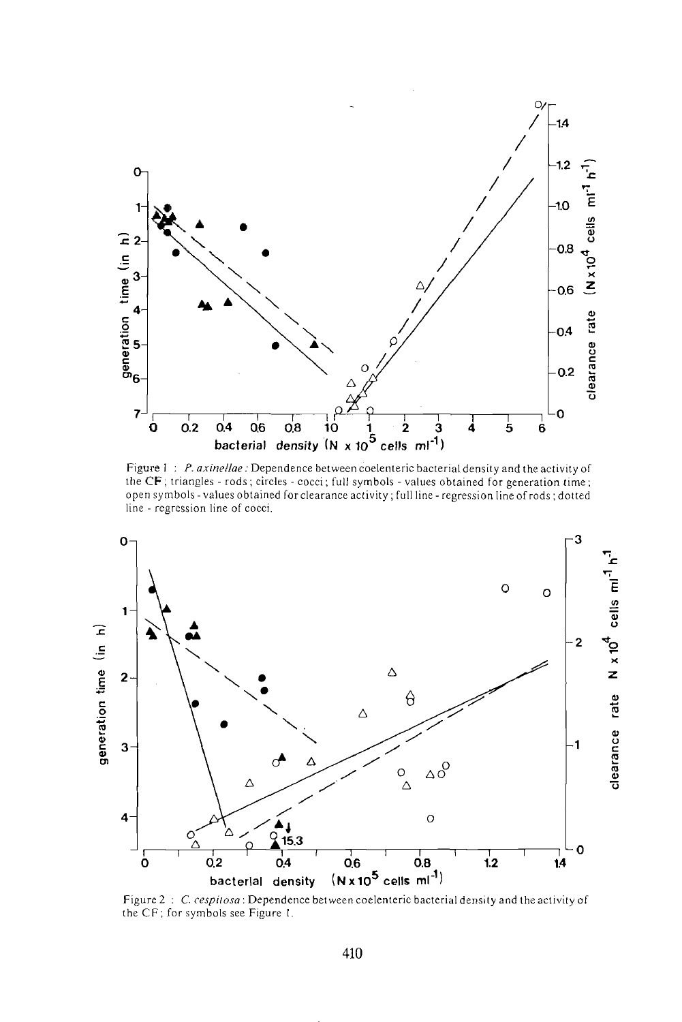

Figure 1: P. axinellae: Dependence between coelenteric bacterial density and the activity of the CF; triangles - rods; circles - cocci; full symbols - values obtained for generation time; open symbols - values obtained for clearance activity; full line - regression line of rods; dotted line - regression line of cocci.



Figure 2: C. cespitosa: Dependence between coelenteric bacterial density and the activity of the CF; for symbols see Figure 1.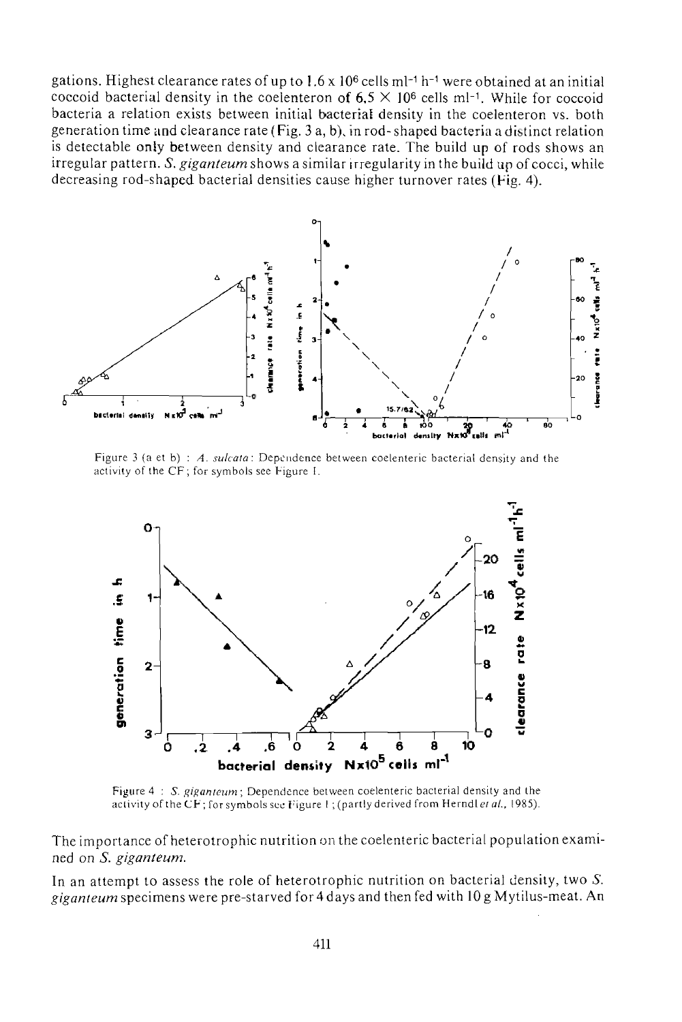gations. Highest clearance rates of up to  $1.6 \times 10^6$  cells m $-1$  h $-1$  were obtained at an initial coccoid bacterial density in the coelenteron of  $6.5 \times 10^6$  cells ml<sup>-1</sup>. While for coccoid bacteria a relation exists between initial bacterial density in the coelenteron vs. both generation time and clearance rate (Fig. 3 a, b), in rod-shaped bacteria a distinct relation is detectable only between density and clearance rate. The build up of rods shows an irregular pattern. S. giganteum shows a similar irregularity in the build up of cocci, while decreasing rod-shaped bacterial densities cause higher turnover rates (Fig. 4).



Figure 3 (a et b) : A. sulcata: Dependence between coelenteric bacterial density and the activity of the CF; for symbols see Figure 1.



Figure 4: S. giganteum; Dependence between coelenteric bacterial density and the activity of the CF; for symbols see Figure 1; (partly derived from Herndl et al., 1985).

The importance of heterotrophic nutrition on the coelenteric bacterial population examined on S. giganteum.

In an attempt to assess the role of heterotrophic nutrition on bacterial density, two  $S$ . giganteum specimens were pre-starved for 4 days and then fed with 10 g Mytilus-meat. An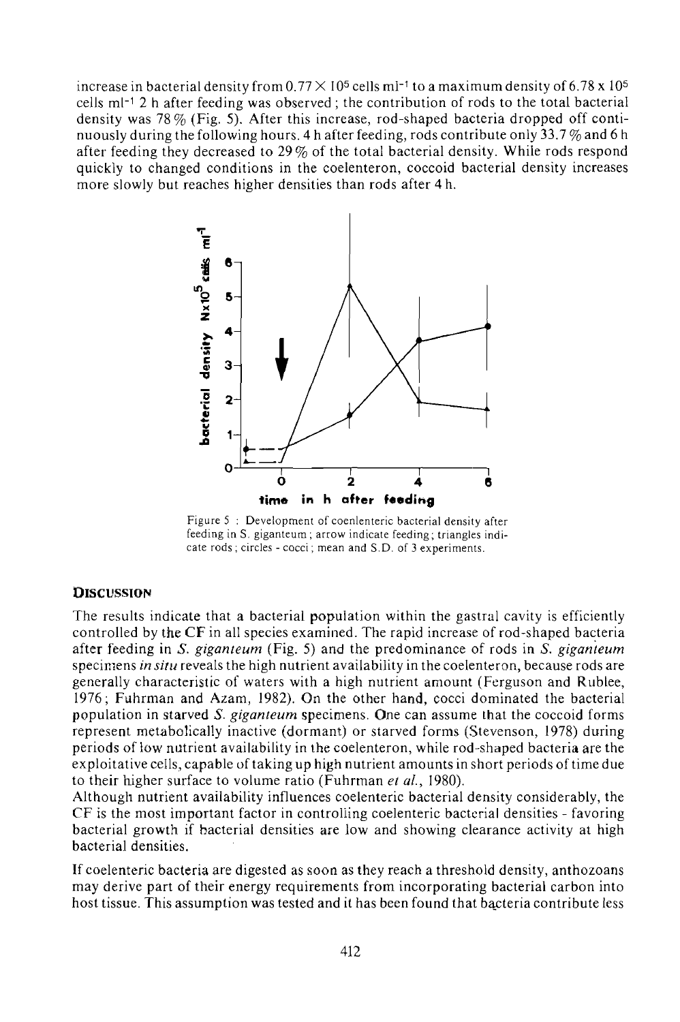increase in bacterial density from  $0.77 \times 10^5$  cells ml<sup>-1</sup> to a maximum density of 6.78 x 10<sup>5</sup> cells ml-1 2 h after feeding was observed ; the contribution of rods to the total bacterial density was 78% (Fig. 5). After this increase, rod-shaped bacteria dropped off continuously during the following hours. 4 h after feeding, rods contribute only 33.7  $\%$  and 6 h after feeding they decreased to 29% of the total bacterial density. While rods respond quickly to changed conditions in the coelenteron, coccoid bacterial density increases more slowly but reaches higher densities than rods after 4h.



Figure 5 : Development of coenlenteric bacterial density after feeding in S. giganteum; arrow indicate feeding; triangles indicate rods ; circles - cocci ; mean and S.D. of 3 experiments.

#### **DISCUSSION**

The results indicate that a bacterial population within the gastral cavity is efficiently controlled by the CF in all species examined. The rapid increase of rod-shaped bacteria after feeding in *S. giganteum* (Fig. 5) arid the predominance of rods in *S. giganteum*  specimens *in situ* reveals the high nutrient availability in the coelenteron, because rods are generally characteristic of waters with a high nutrient amount (Ferguson and Rublee, 1976; Fuhrman and Azam, 1982). On the other hand, cocci dominated the bacterial population in starved *S. giganteum* specimens. One can assume that the coccoid forms represent metabolically inactive (dormant) or starved forms (Stevenson, 1978) during periods of low nutrient availability in the coelenteron, while rod-shaped bacteria are the exploitative cells, capable of taking up high nutrient amounts in short periods of time due to their higher surface to volume ratio (Fuhrman *et al,* 1980).

Although nutrient availability influences coelenteric bacterial density considerably, the CF is the most important factor in controlling coelenteric bacterial densities - favoring bacterial growth if bacterial densities are low and showing clearance activity at high bacterial densities.

If coelenteric bacteria are digested as soon as they reach a threshold density, anthozoans may derive part of their energy requirements from incorporating bacterial carbon into host tissue. This assumption was tested and it has been found that bacteria contribute less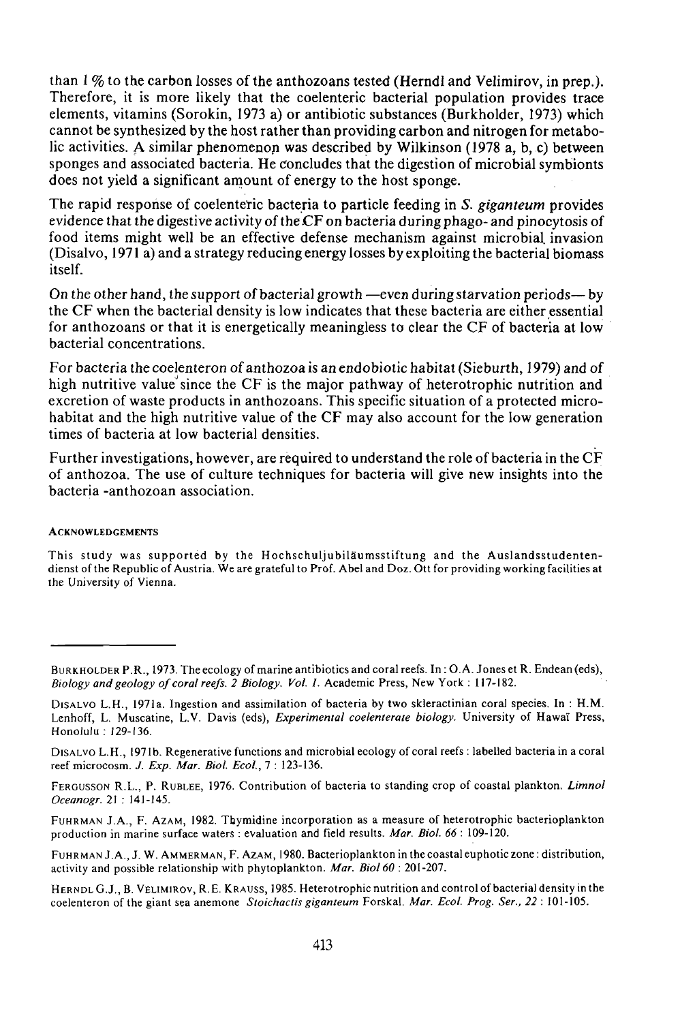than 1 % to the carbon losses of the anthozoans tested (Herndl and Velimirov, in prep.). Therefore, it is more likely that the coelenteric bacterial population provides trace elements, vitamins (Sorokin, 1973 a) or antibiotic substances (Burkholder, 1973) which cannot be synthesized by the host rather than providing carbon and nitrogen for metabolic activities. A similar phenomenon was described by Wilkinson (1978 a, b, c) between sponges and associated bacteria. He concludes that the digestion of microbial symbionts does not yield a significant amount of energy to the host sponge.

The rapid response of coelenteric bacteria to particle feeding in *S. giganteum* provides evidence that the digestive activity of the CF on bacteria during phago- and pinocytosis of food items might well be an effective defense mechanism against microbial, invasion (Disalvo, 1971 a) and a strategy reducing energy losses by exploiting the bacterial biomass itself.

On the other hand, the support of bacterial growth —even during starvation periods— by the CF when the bacterial density is low indicates that these bacteria are either essential for anthozoans or that it is energetically meaningless to clear the CF of bacteria at low bacterial concentrations.

For bacteria the coelenteron of anthozoa is an endobiotic habitat (Sieburth, 1979) and of high nutritive value since the CF is the major pathway of heterotrophic nutrition and excretion of waste products in anthozoans. This specific situation of a protected microhabitat and the high nutritive value of the CF may also account for the low generation times of bacteria at low bacterial densities.

Further investigations, however, are required to understand the role of bacteria in the CF of anthozoa. The use of culture techniques for bacteria will give new insights into the bacteria -anthozoan association.

#### **ACKNOWLEDGEMENTS**

This study was supported by the Hochschuljubilaumsstiftung and the Auslandsstudentendienst of the Republic of Austria. We are grateful to Prof. Abel and Doz. Ott for providing working facilities at the University of Vienna.

DISALVO L.H., 1971b. Regenerative functions and microbial ecology of coral reefs : labelled bacteria in a coral reef microcosm. *J. Exp. Mar. Biol. Ecol., 1* : 123-136.

FERGUSSON R.L., P. RUBLEE, 1976. Contribution of bacteria to standing crop of coastal plankton. *Limnol Oceanogr.* 21 : 141-145.

FUHRMAN J.A., F. AZAM, 1982. Thymidine incorporation as a measure of heterotrophic bacterioplankton production in marine surface waters : evaluation and field results. *Mar. Biol. 66* : 109-120.

FUHRMAN J. A., J. W. AMMERMAN, F. AZAM, 1980. Bacterioplankton in the coastal euphotic zone: distribution, activity and possible relationship with phytoplankton. *Mar. Biol 60* : 201-207.

HERNDL G.J., B. VELIMIROV, R.E. KRAUSS, 1985. Heterotrophic nutrition and control of bacterial density in the coelenteron of the giant sea anemone *Stoichaclis giganteum* Forskal. *Mar. Ecol. Prog. Ser., 22* : 101-105.

BURKHOLDER P.R., 1973. The ecology of marine antibiotics and coral reefs. In : O.A. Jones et R. Endean (eds), *Biology and geology of coral reefs. 2 Biology. Vol. 1.* Academic Press, New York : 117-182.

DISALVO L.H., 1971a. Ingestion and assimilation of bacteria by two skleractinian coral species. In: H.M. Lenhoff, L. Muscatine, L.V. Davis (eds), *Experimental coelenterate biology.* University of Hawa'i Press, Honolulu: 129-136.